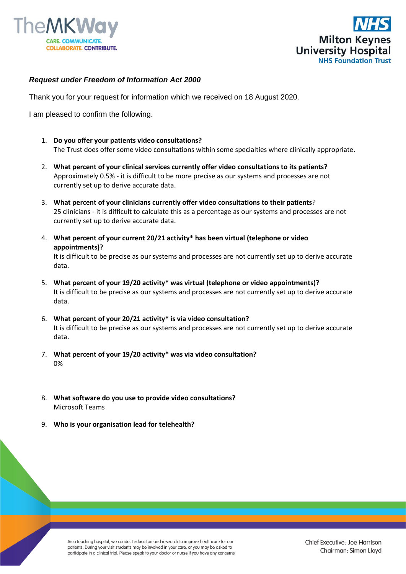



## *Request under Freedom of Information Act 2000*

Thank you for your request for information which we received on 18 August 2020.

I am pleased to confirm the following.

- 1. **Do you offer your patients video consultations?** The Trust does offer some video consultations within some specialties where clinically appropriate.
- 2. **What percent of your clinical services currently offer video consultations to its patients?**  Approximately 0.5% - it is difficult to be more precise as our systems and processes are not currently set up to derive accurate data.
- 3. **What percent of your clinicians currently offer video consultations to their patients**? 25 clinicians - it is difficult to calculate this as a percentage as our systems and processes are not currently set up to derive accurate data.
- 4. **What percent of your current 20/21 activity\* has been virtual (telephone or video appointments)?** It is difficult to be precise as our systems and processes are not currently set up to derive accurate data.
- 5. **What percent of your 19/20 activity\* was virtual (telephone or video appointments)?** It is difficult to be precise as our systems and processes are not currently set up to derive accurate data.
- 6. **What percent of your 20/21 activity\* is via video consultation?** It is difficult to be precise as our systems and processes are not currently set up to derive accurate data.
- 7. **What percent of your 19/20 activity\* was via video consultation?** 0%
- 8. **What software do you use to provide video consultations?**  Microsoft Teams
- 9. **Who is your organisation lead for telehealth?**

As a teaching hospital, we conduct education and research to improve healthcare for our patients. During your visit students may be involved in your care, or you may be asked to participate in a clinical trial. Please speak to your doctor or nurse if you have any concerns.